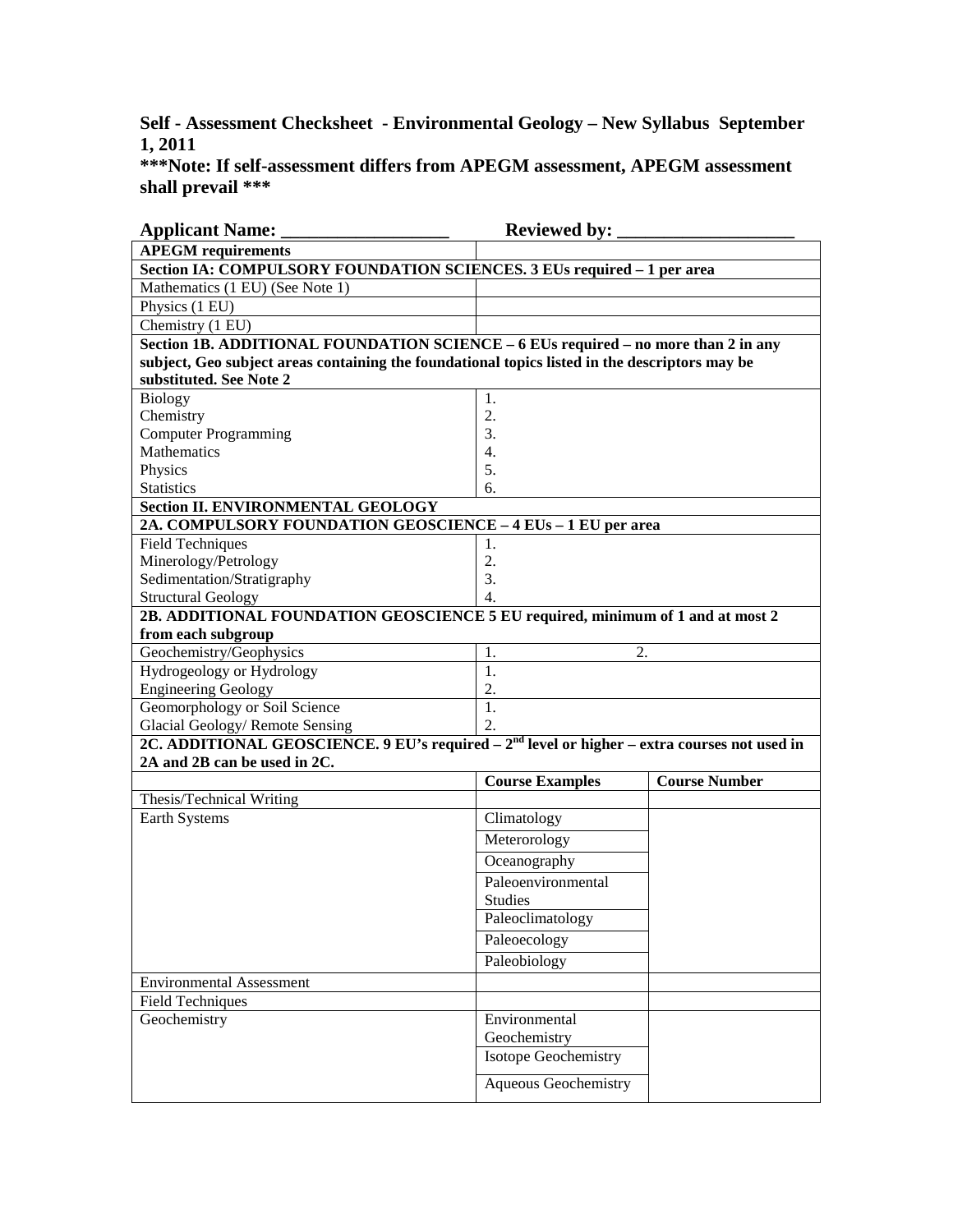**Self - Assessment Checksheet - Environmental Geology – New Syllabus September 1, 2011** 

**\*\*\*Note: If self-assessment differs from APEGM assessment, APEGM assessment shall prevail \*\*\*** 

| <b>Applicant Name:</b>                                                                                                        | <b>Reviewed by:</b>         |                      |  |
|-------------------------------------------------------------------------------------------------------------------------------|-----------------------------|----------------------|--|
| <b>APEGM</b> requirements                                                                                                     |                             |                      |  |
| Section IA: COMPULSORY FOUNDATION SCIENCES. 3 EUs required - 1 per area                                                       |                             |                      |  |
| Mathematics (1 EU) (See Note 1)                                                                                               |                             |                      |  |
| Physics (1 EU)                                                                                                                |                             |                      |  |
| Chemistry (1 EU)                                                                                                              |                             |                      |  |
| Section 1B. ADDITIONAL FOUNDATION SCIENCE - 6 EUs required - no more than 2 in any                                            |                             |                      |  |
| subject, Geo subject areas containing the foundational topics listed in the descriptors may be                                |                             |                      |  |
| substituted. See Note 2                                                                                                       |                             |                      |  |
| <b>Biology</b>                                                                                                                | 1.                          |                      |  |
| Chemistry                                                                                                                     | 2.                          |                      |  |
| <b>Computer Programming</b>                                                                                                   | 3.                          |                      |  |
| Mathematics                                                                                                                   | $\overline{4}$ .            |                      |  |
| Physics                                                                                                                       | 5.                          |                      |  |
| <b>Statistics</b>                                                                                                             | 6.                          |                      |  |
| <b>Section II. ENVIRONMENTAL GEOLOGY</b>                                                                                      |                             |                      |  |
| 2A. COMPULSORY FOUNDATION GEOSCIENCE - 4 EUs - 1 EU per area                                                                  |                             |                      |  |
| <b>Field Techniques</b>                                                                                                       | 1.                          |                      |  |
| Minerology/Petrology                                                                                                          | 2.                          |                      |  |
| Sedimentation/Stratigraphy                                                                                                    | 3.                          |                      |  |
| <b>Structural Geology</b>                                                                                                     | $\overline{4}$ .            |                      |  |
| 2B. ADDITIONAL FOUNDATION GEOSCIENCE 5 EU required, minimum of 1 and at most 2                                                |                             |                      |  |
| from each subgroup<br>Geochemistry/Geophysics                                                                                 | 2.<br>1.                    |                      |  |
|                                                                                                                               | 1.                          |                      |  |
| Hydrogeology or Hydrology<br><b>Engineering Geology</b>                                                                       | 2.                          |                      |  |
| Geomorphology or Soil Science                                                                                                 | 1.                          |                      |  |
| Glacial Geology/Remote Sensing                                                                                                | 2.                          |                      |  |
|                                                                                                                               |                             |                      |  |
| 2C. ADDITIONAL GEOSCIENCE. 9 EU's required $-2nd$ level or higher – extra courses not used in<br>2A and 2B can be used in 2C. |                             |                      |  |
|                                                                                                                               | <b>Course Examples</b>      | <b>Course Number</b> |  |
| Thesis/Technical Writing                                                                                                      |                             |                      |  |
| Earth Systems                                                                                                                 | Climatology                 |                      |  |
|                                                                                                                               | Meterorology                |                      |  |
|                                                                                                                               | Oceanography                |                      |  |
|                                                                                                                               | Paleoenvironmental          |                      |  |
|                                                                                                                               | <b>Studies</b>              |                      |  |
|                                                                                                                               |                             |                      |  |
|                                                                                                                               | Paleoclimatology            |                      |  |
|                                                                                                                               | Paleoecology                |                      |  |
|                                                                                                                               | Paleobiology                |                      |  |
| <b>Environmental Assessment</b>                                                                                               |                             |                      |  |
| <b>Field Techniques</b>                                                                                                       |                             |                      |  |
| Geochemistry                                                                                                                  | Environmental               |                      |  |
|                                                                                                                               | Geochemistry                |                      |  |
|                                                                                                                               | Isotope Geochemistry        |                      |  |
|                                                                                                                               | <b>Aqueous Geochemistry</b> |                      |  |
|                                                                                                                               |                             |                      |  |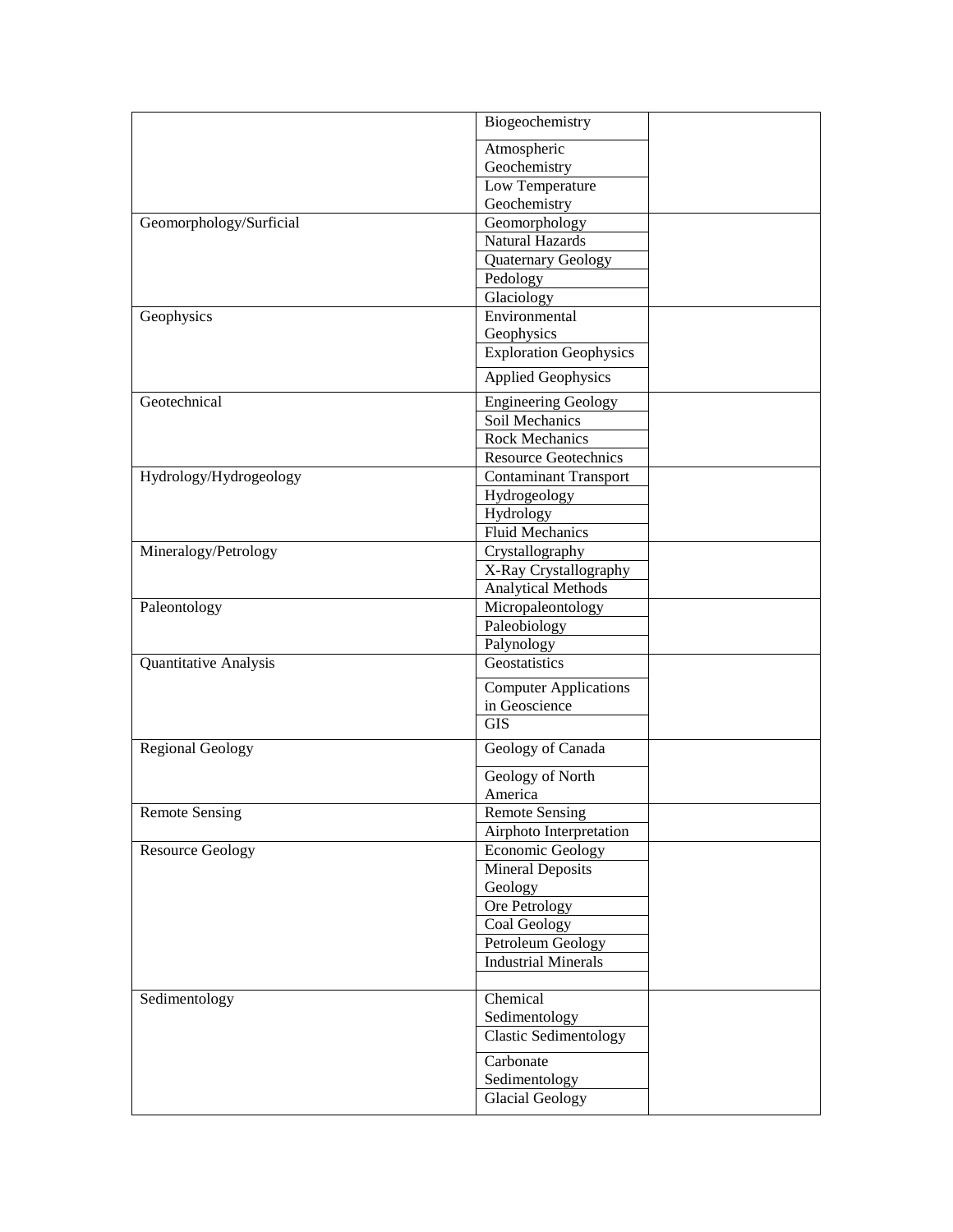|                         | Biogeochemistry               |  |
|-------------------------|-------------------------------|--|
|                         | Atmospheric                   |  |
|                         | Geochemistry                  |  |
|                         | Low Temperature               |  |
|                         | Geochemistry                  |  |
| Geomorphology/Surficial | Geomorphology                 |  |
|                         | Natural Hazards               |  |
|                         | Quaternary Geology            |  |
|                         | Pedology                      |  |
|                         | Glaciology                    |  |
| Geophysics              | Environmental                 |  |
|                         | Geophysics                    |  |
|                         | <b>Exploration Geophysics</b> |  |
|                         | <b>Applied Geophysics</b>     |  |
| Geotechnical            | <b>Engineering Geology</b>    |  |
|                         | Soil Mechanics                |  |
|                         | Rock Mechanics                |  |
|                         |                               |  |
|                         | <b>Resource Geotechnics</b>   |  |
| Hydrology/Hydrogeology  | <b>Contaminant Transport</b>  |  |
|                         | Hydrogeology                  |  |
|                         | Hydrology                     |  |
|                         | <b>Fluid Mechanics</b>        |  |
| Mineralogy/Petrology    | Crystallography               |  |
|                         | X-Ray Crystallography         |  |
|                         | <b>Analytical Methods</b>     |  |
| Paleontology            | Micropaleontology             |  |
|                         | Paleobiology                  |  |
|                         | Palynology                    |  |
| Quantitative Analysis   | Geostatistics                 |  |
|                         | <b>Computer Applications</b>  |  |
|                         | in Geoscience                 |  |
|                         | <b>GIS</b>                    |  |
| <b>Regional Geology</b> | Geology of Canada             |  |
|                         | Geology of North              |  |
|                         | America                       |  |
| <b>Remote Sensing</b>   | <b>Remote Sensing</b>         |  |
|                         | Airphoto Interpretation       |  |
| <b>Resource Geology</b> | <b>Economic Geology</b>       |  |
|                         | <b>Mineral Deposits</b>       |  |
|                         | Geology                       |  |
|                         | Ore Petrology                 |  |
|                         | Coal Geology                  |  |
|                         | Petroleum Geology             |  |
|                         | <b>Industrial Minerals</b>    |  |
|                         |                               |  |
| Sedimentology           | Chemical                      |  |
|                         | Sedimentology                 |  |
|                         | <b>Clastic Sedimentology</b>  |  |
|                         | Carbonate                     |  |
|                         | Sedimentology                 |  |
|                         | <b>Glacial Geology</b>        |  |
|                         |                               |  |